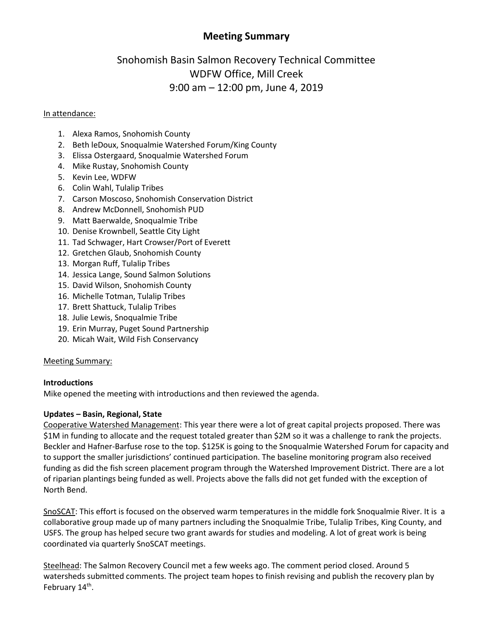## **Meeting Summary**

# Snohomish Basin Salmon Recovery Technical Committee WDFW Office, Mill Creek 9:00 am – 12:00 pm, June 4, 2019

#### In attendance:

- 1. Alexa Ramos, Snohomish County
- 2. Beth leDoux, Snoqualmie Watershed Forum/King County
- 3. Elissa Ostergaard, Snoqualmie Watershed Forum
- 4. Mike Rustay, Snohomish County
- 5. Kevin Lee, WDFW
- 6. Colin Wahl, Tulalip Tribes
- 7. Carson Moscoso, Snohomish Conservation District
- 8. Andrew McDonnell, Snohomish PUD
- 9. Matt Baerwalde, Snoqualmie Tribe
- 10. Denise Krownbell, Seattle City Light
- 11. Tad Schwager, Hart Crowser/Port of Everett
- 12. Gretchen Glaub, Snohomish County
- 13. Morgan Ruff, Tulalip Tribes
- 14. Jessica Lange, Sound Salmon Solutions
- 15. David Wilson, Snohomish County
- 16. Michelle Totman, Tulalip Tribes
- 17. Brett Shattuck, Tulalip Tribes
- 18. Julie Lewis, Snoqualmie Tribe
- 19. Erin Murray, Puget Sound Partnership
- 20. Micah Wait, Wild Fish Conservancy

#### Meeting Summary:

#### **Introductions**

Mike opened the meeting with introductions and then reviewed the agenda.

#### **Updates – Basin, Regional, State**

Cooperative Watershed Management: This year there were a lot of great capital projects proposed. There was \$1M in funding to allocate and the request totaled greater than \$2M so it was a challenge to rank the projects. Beckler and Hafner-Barfuse rose to the top. \$125K is going to the Snoqualmie Watershed Forum for capacity and to support the smaller jurisdictions' continued participation. The baseline monitoring program also received funding as did the fish screen placement program through the Watershed Improvement District. There are a lot of riparian plantings being funded as well. Projects above the falls did not get funded with the exception of North Bend.

SnoSCAT: This effort is focused on the observed warm temperatures in the middle fork Snoqualmie River. It is a collaborative group made up of many partners including the Snoqualmie Tribe, Tulalip Tribes, King County, and USFS. The group has helped secure two grant awards for studies and modeling. A lot of great work is being coordinated via quarterly SnoSCAT meetings.

Steelhead: The Salmon Recovery Council met a few weeks ago. The comment period closed. Around 5 watersheds submitted comments. The project team hopes to finish revising and publish the recovery plan by February 14<sup>th</sup>.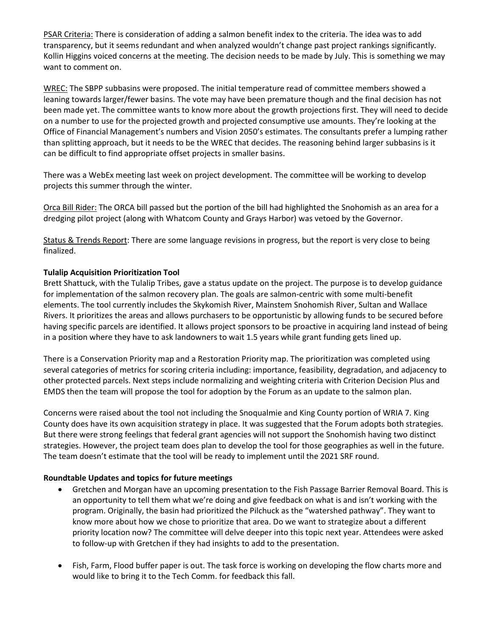PSAR Criteria: There is consideration of adding a salmon benefit index to the criteria. The idea was to add transparency, but it seems redundant and when analyzed wouldn't change past project rankings significantly. Kollin Higgins voiced concerns at the meeting. The decision needs to be made by July. This is something we may want to comment on.

WREC: The SBPP subbasins were proposed. The initial temperature read of committee members showed a leaning towards larger/fewer basins. The vote may have been premature though and the final decision has not been made yet. The committee wants to know more about the growth projections first. They will need to decide on a number to use for the projected growth and projected consumptive use amounts. They're looking at the Office of Financial Management's numbers and Vision 2050's estimates. The consultants prefer a lumping rather than splitting approach, but it needs to be the WREC that decides. The reasoning behind larger subbasins is it can be difficult to find appropriate offset projects in smaller basins.

There was a WebEx meeting last week on project development. The committee will be working to develop projects this summer through the winter.

Orca Bill Rider: The ORCA bill passed but the portion of the bill had highlighted the Snohomish as an area for a dredging pilot project (along with Whatcom County and Grays Harbor) was vetoed by the Governor.

Status & Trends Report: There are some language revisions in progress, but the report is very close to being finalized.

### **Tulalip Acquisition Prioritization Tool**

Brett Shattuck, with the Tulalip Tribes, gave a status update on the project. The purpose is to develop guidance for implementation of the salmon recovery plan. The goals are salmon-centric with some multi-benefit elements. The tool currently includes the Skykomish River, Mainstem Snohomish River, Sultan and Wallace Rivers. It prioritizes the areas and allows purchasers to be opportunistic by allowing funds to be secured before having specific parcels are identified. It allows project sponsors to be proactive in acquiring land instead of being in a position where they have to ask landowners to wait 1.5 years while grant funding gets lined up.

There is a Conservation Priority map and a Restoration Priority map. The prioritization was completed using several categories of metrics for scoring criteria including: importance, feasibility, degradation, and adjacency to other protected parcels. Next steps include normalizing and weighting criteria with Criterion Decision Plus and EMDS then the team will propose the tool for adoption by the Forum as an update to the salmon plan.

Concerns were raised about the tool not including the Snoqualmie and King County portion of WRIA 7. King County does have its own acquisition strategy in place. It was suggested that the Forum adopts both strategies. But there were strong feelings that federal grant agencies will not support the Snohomish having two distinct strategies. However, the project team does plan to develop the tool for those geographies as well in the future. The team doesn't estimate that the tool will be ready to implement until the 2021 SRF round.

#### **Roundtable Updates and topics for future meetings**

- Gretchen and Morgan have an upcoming presentation to the Fish Passage Barrier Removal Board. This is an opportunity to tell them what we're doing and give feedback on what is and isn't working with the program. Originally, the basin had prioritized the Pilchuck as the "watershed pathway". They want to know more about how we chose to prioritize that area. Do we want to strategize about a different priority location now? The committee will delve deeper into this topic next year. Attendees were asked to follow-up with Gretchen if they had insights to add to the presentation.
- Fish, Farm, Flood buffer paper is out. The task force is working on developing the flow charts more and would like to bring it to the Tech Comm. for feedback this fall.